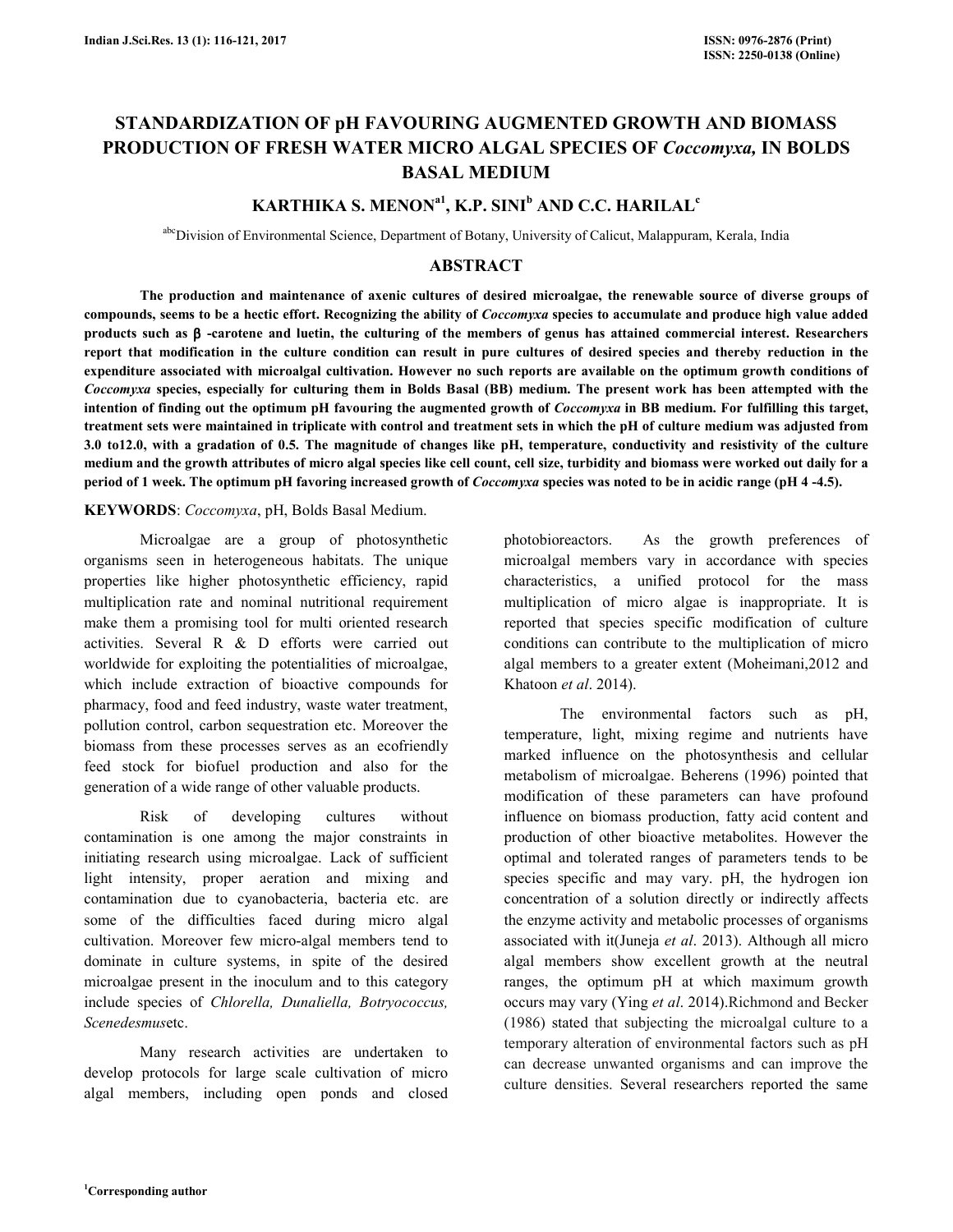# **STANDARDIZATION OF pH FAVOURING AUGMENTED GROWTH AND BIOMASS PRODUCTION OF FRESH WATER MICRO ALGAL SPECIES OF** *Coccomyxa,* **IN BOLDS BASAL MEDIUM**

# **KARTHIKA S. MENONa1, K.P. SINI<sup>b</sup> AND C.C. HARILAL<sup>c</sup>**

abcDivision of Environmental Science, Department of Botany, University of Calicut, Malappuram, Kerala, India

# **ABSTRACT**

**The production and maintenance of axenic cultures of desired microalgae, the renewable source of diverse groups of compounds, seems to be a hectic effort. Recognizing the ability of** *Coccomyxa* **species to accumulate and produce high value added products such as** β **-carotene and luetin, the culturing of the members of genus has attained commercial interest. Researchers report that modification in the culture condition can result in pure cultures of desired species and thereby reduction in the expenditure associated with microalgal cultivation. However no such reports are available on the optimum growth conditions of**  *Coccomyxa* **species, especially for culturing them in Bolds Basal (BB) medium. The present work has been attempted with the intention of finding out the optimum pH favouring the augmented growth of** *Coccomyxa* **in BB medium. For fulfilling this target, treatment sets were maintained in triplicate with control and treatment sets in which the pH of culture medium was adjusted from 3.0 to12.0, with a gradation of 0.5. The magnitude of changes like pH, temperature, conductivity and resistivity of the culture medium and the growth attributes of micro algal species like cell count, cell size, turbidity and biomass were worked out daily for a period of 1 week. The optimum pH favoring increased growth of** *Coccomyxa* **species was noted to be in acidic range (pH 4 -4.5).** 

#### **KEYWORDS**: *Coccomyxa*, pH, Bolds Basal Medium.

 Microalgae are a group of photosynthetic organisms seen in heterogeneous habitats. The unique properties like higher photosynthetic efficiency, rapid multiplication rate and nominal nutritional requirement make them a promising tool for multi oriented research activities. Several R & D efforts were carried out worldwide for exploiting the potentialities of microalgae, which include extraction of bioactive compounds for pharmacy, food and feed industry, waste water treatment, pollution control, carbon sequestration etc. Moreover the biomass from these processes serves as an ecofriendly feed stock for biofuel production and also for the generation of a wide range of other valuable products.

 Risk of developing cultures without contamination is one among the major constraints in initiating research using microalgae. Lack of sufficient light intensity, proper aeration and mixing and contamination due to cyanobacteria, bacteria etc. are some of the difficulties faced during micro algal cultivation. Moreover few micro-algal members tend to dominate in culture systems, in spite of the desired microalgae present in the inoculum and to this category include species of *Chlorella, Dunaliella, Botryococcus, Scenedesmus*etc.

 Many research activities are undertaken to develop protocols for large scale cultivation of micro algal members, including open ponds and closed photobioreactors. As the growth preferences of microalgal members vary in accordance with species characteristics, a unified protocol for the mass multiplication of micro algae is inappropriate. It is reported that species specific modification of culture conditions can contribute to the multiplication of micro algal members to a greater extent (Moheimani,2012 and Khatoon *et al*. 2014).

 The environmental factors such as pH, temperature, light, mixing regime and nutrients have marked influence on the photosynthesis and cellular metabolism of microalgae. Beherens (1996) pointed that modification of these parameters can have profound influence on biomass production, fatty acid content and production of other bioactive metabolites. However the optimal and tolerated ranges of parameters tends to be species specific and may vary. pH, the hydrogen ion concentration of a solution directly or indirectly affects the enzyme activity and metabolic processes of organisms associated with it(Juneja *et al*. 2013). Although all micro algal members show excellent growth at the neutral ranges, the optimum pH at which maximum growth occurs may vary (Ying *et al*. 2014).Richmond and Becker (1986) stated that subjecting the microalgal culture to a temporary alteration of environmental factors such as pH can decrease unwanted organisms and can improve the culture densities. Several researchers reported the same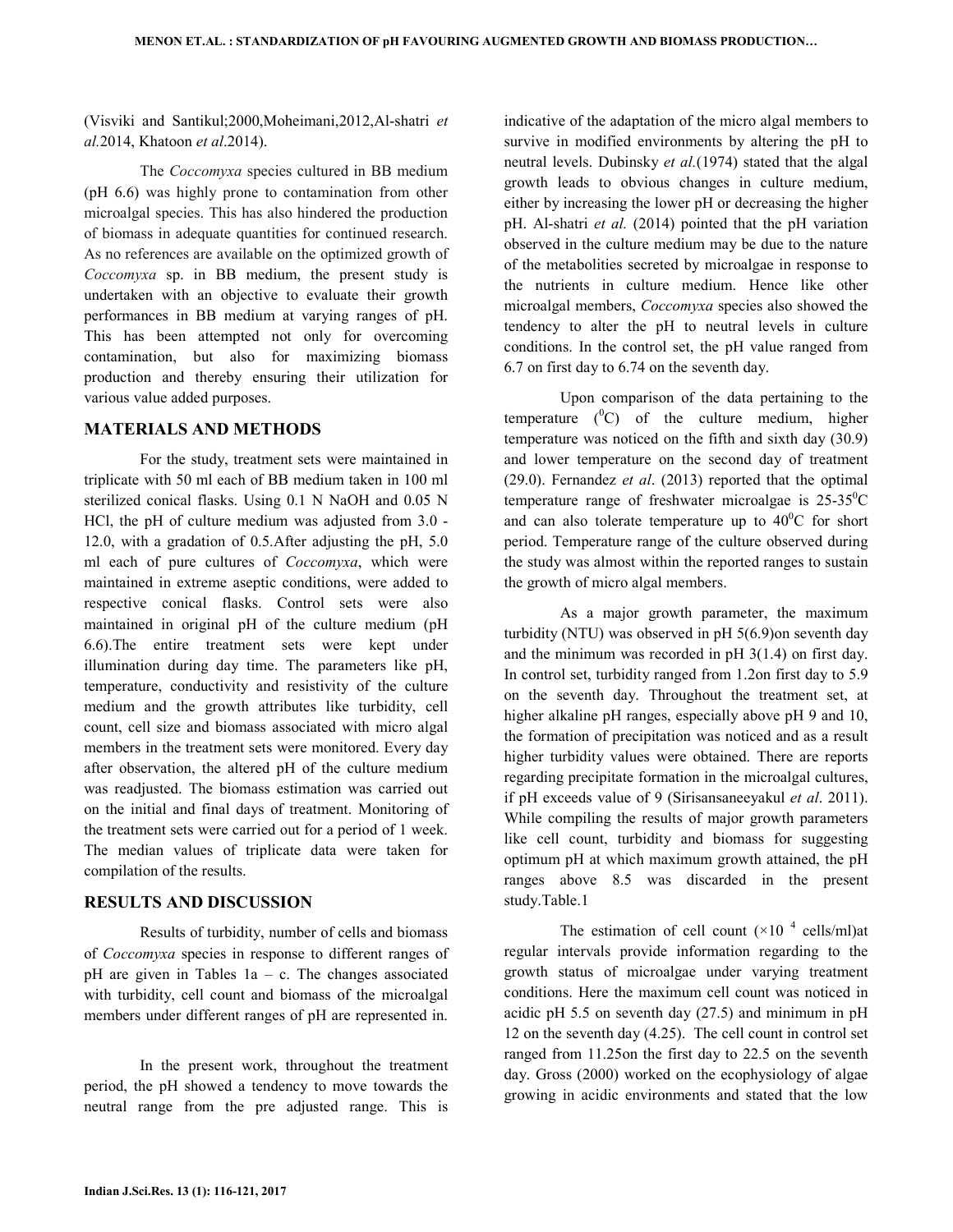(Visviki and Santikul;2000,Moheimani,2012,Al-shatri *et al.*2014, Khatoon *et al*.2014).

 The *Coccomyxa* species cultured in BB medium (pH 6.6) was highly prone to contamination from other microalgal species. This has also hindered the production of biomass in adequate quantities for continued research. As no references are available on the optimized growth of *Coccomyxa* sp. in BB medium, the present study is undertaken with an objective to evaluate their growth performances in BB medium at varying ranges of pH. This has been attempted not only for overcoming contamination, but also for maximizing biomass production and thereby ensuring their utilization for various value added purposes.

## **MATERIALS AND METHODS**

 For the study, treatment sets were maintained in triplicate with 50 ml each of BB medium taken in 100 ml sterilized conical flasks. Using 0.1 N NaOH and 0.05 N HCl, the pH of culture medium was adjusted from 3.0 - 12.0, with a gradation of 0.5.After adjusting the pH, 5.0 ml each of pure cultures of *Coccomyxa*, which were maintained in extreme aseptic conditions, were added to respective conical flasks. Control sets were also maintained in original pH of the culture medium (pH 6.6).The entire treatment sets were kept under illumination during day time. The parameters like pH, temperature, conductivity and resistivity of the culture medium and the growth attributes like turbidity, cell count, cell size and biomass associated with micro algal members in the treatment sets were monitored. Every day after observation, the altered pH of the culture medium was readjusted. The biomass estimation was carried out on the initial and final days of treatment. Monitoring of the treatment sets were carried out for a period of 1 week. The median values of triplicate data were taken for compilation of the results.

### **RESULTS AND DISCUSSION**

 Results of turbidity, number of cells and biomass of *Coccomyxa* species in response to different ranges of pH are given in Tables 1a – c. The changes associated with turbidity, cell count and biomass of the microalgal members under different ranges of pH are represented in.

 In the present work, throughout the treatment period, the pH showed a tendency to move towards the neutral range from the pre adjusted range. This is

indicative of the adaptation of the micro algal members to survive in modified environments by altering the pH to neutral levels. Dubinsky *et al.*(1974) stated that the algal growth leads to obvious changes in culture medium, either by increasing the lower pH or decreasing the higher pH. Al-shatri *et al.* (2014) pointed that the pH variation observed in the culture medium may be due to the nature of the metabolities secreted by microalgae in response to the nutrients in culture medium. Hence like other microalgal members, *Coccomyxa* species also showed the tendency to alter the pH to neutral levels in culture conditions. In the control set, the pH value ranged from 6.7 on first day to 6.74 on the seventh day.

 Upon comparison of the data pertaining to the temperature  $(^{0}C)$  of the culture medium, higher temperature was noticed on the fifth and sixth day (30.9) and lower temperature on the second day of treatment (29.0). Fernandez *et al*. (2013) reported that the optimal temperature range of freshwater microalgae is  $25-35^{\circ}$ C and can also tolerate temperature up to  $40^{\circ}$ C for short period. Temperature range of the culture observed during the study was almost within the reported ranges to sustain the growth of micro algal members.

 As a major growth parameter, the maximum turbidity (NTU) was observed in pH 5(6.9)on seventh day and the minimum was recorded in pH 3(1.4) on first day. In control set, turbidity ranged from 1.2on first day to 5.9 on the seventh day. Throughout the treatment set, at higher alkaline pH ranges, especially above pH 9 and 10, the formation of precipitation was noticed and as a result higher turbidity values were obtained. There are reports regarding precipitate formation in the microalgal cultures, if pH exceeds value of 9 (Sirisansaneeyakul *et al*. 2011). While compiling the results of major growth parameters like cell count, turbidity and biomass for suggesting optimum pH at which maximum growth attained, the pH ranges above 8.5 was discarded in the present study.Table.1

The estimation of cell count  $(\times 10^{-4} \text{ cells/ml})$ at regular intervals provide information regarding to the growth status of microalgae under varying treatment conditions. Here the maximum cell count was noticed in acidic pH 5.5 on seventh day (27.5) and minimum in pH 12 on the seventh day (4.25). The cell count in control set ranged from 11.25on the first day to 22.5 on the seventh day. Gross (2000) worked on the ecophysiology of algae growing in acidic environments and stated that the low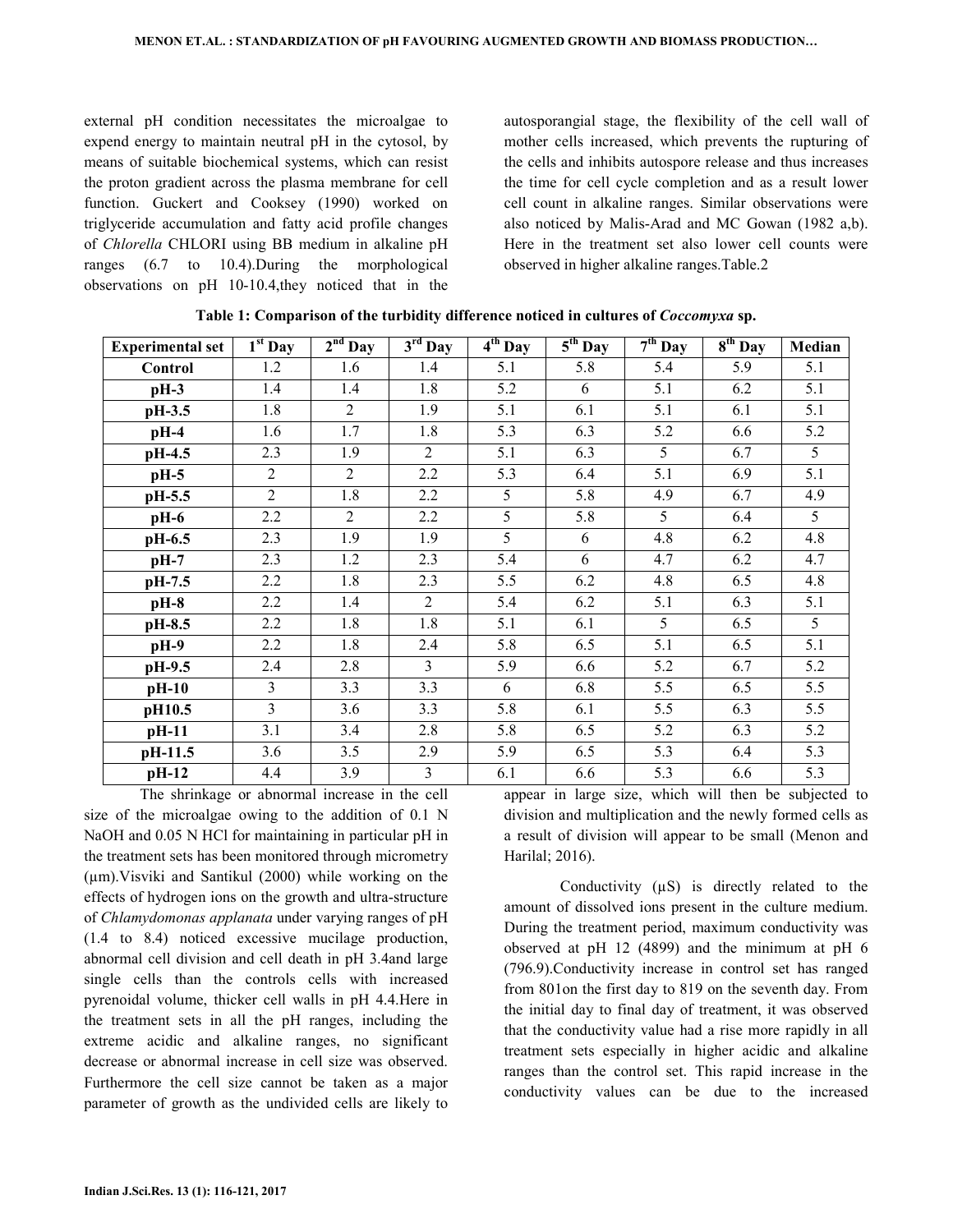external pH condition necessitates the microalgae to expend energy to maintain neutral pH in the cytosol, by means of suitable biochemical systems, which can resist the proton gradient across the plasma membrane for cell function. Guckert and Cooksey (1990) worked on triglyceride accumulation and fatty acid profile changes of *Chlorella* CHLORI using BB medium in alkaline pH ranges (6.7 to 10.4).During the morphological observations on pH 10-10.4,they noticed that in the

autosporangial stage, the flexibility of the cell wall of mother cells increased, which prevents the rupturing of the cells and inhibits autospore release and thus increases the time for cell cycle completion and as a result lower cell count in alkaline ranges. Similar observations were also noticed by Malis-Arad and MC Gowan (1982 a,b). Here in the treatment set also lower cell counts were observed in higher alkaline ranges.Table.2

| <b>Experimental set</b> | $1st$ Day      | $2nd$ Day      | $\overline{3}^{\rm rd}$ Day | $\overline{4^{th}}$ Day | $\overline{5}^{th}$ Day | $\overline{7}^{\text{th}}$ Day | $\overline{8}^{th}$ Day | Median           |
|-------------------------|----------------|----------------|-----------------------------|-------------------------|-------------------------|--------------------------------|-------------------------|------------------|
| Control                 | 1.2            | 1.6            | 1.4                         | 5.1                     | 5.8                     | 5.4                            | 5.9                     | 5.1              |
| $pH-3$                  | 1.4            | 1.4            | 1.8                         | 5.2                     | 6                       | 5.1                            | 6.2                     | 5.1              |
| pH-3.5                  | 1.8            | $\overline{2}$ | 1.9                         | 5.1                     | 6.1                     | 5.1                            | 6.1                     | 5.1              |
| $pH-4$                  | 1.6            | 1.7            | 1.8                         | 5.3                     | 6.3                     | 5.2                            | 6.6                     | 5.2              |
| pH-4.5                  | 2.3            | 1.9            | $\overline{2}$              | 5.1                     | 6.3                     | 5                              | 6.7                     | 5                |
| $pH-5$                  | $\overline{2}$ | $\overline{2}$ | 2.2                         | 5.3                     | 6.4                     | 5.1                            | 6.9                     | 5.1              |
| pH-5.5                  | $\overline{2}$ | 1.8            | 2.2                         | 5                       | 5.8                     | 4.9                            | 6.7                     | 4.9              |
| pH-6                    | 2.2            | $\overline{2}$ | 2.2                         | 5                       | 5.8                     | 5                              | 6.4                     | 5                |
| pH-6.5                  | 2.3            | 1.9            | 1.9                         | 5                       | 6                       | 4.8                            | 6.2                     | $\overline{4.8}$ |
| $pH-7$                  | 2.3            | 1.2            | 2.3                         | 5.4                     | 6                       | 4.7                            | 6.2                     | 4.7              |
| pH-7.5                  | 2.2            | 1.8            | 2.3                         | 5.5                     | 6.2                     | 4.8                            | 6.5                     | 4.8              |
| $pH-8$                  | 2.2            | 1.4            | 2                           | 5.4                     | 6.2                     | 5.1                            | 6.3                     | 5.1              |
| pH-8.5                  | 2.2            | 1.8            | 1.8                         | 5.1                     | 6.1                     | 5                              | 6.5                     | $\overline{5}$   |
| $pH-9$                  | 2.2            | 1.8            | 2.4                         | 5.8                     | 6.5                     | 5.1                            | 6.5                     | 5.1              |
| pH-9.5                  | 2.4            | 2.8            | $\overline{3}$              | 5.9                     | 6.6                     | 5.2                            | 6.7                     | 5.2              |
| $pH-10$                 | 3              | 3.3            | 3.3                         | 6                       | 6.8                     | 5.5                            | 6.5                     | 5.5              |
| pH10.5                  | 3              | 3.6            | 3.3                         | 5.8                     | 6.1                     | 5.5                            | 6.3                     | 5.5              |
| pH-11                   | 3.1            | 3.4            | 2.8                         | 5.8                     | 6.5                     | 5.2                            | 6.3                     | 5.2              |
| pH-11.5                 | 3.6            | 3.5            | 2.9                         | 5.9                     | 6.5                     | 5.3                            | 6.4                     | 5.3              |
| pH-12                   | 4.4            | 3.9            | 3                           | 6.1                     | 6.6                     | 5.3                            | 6.6                     | 5.3              |

**Table 1: Comparison of the turbidity difference noticed in cultures of** *Coccomyxa* **sp.** 

 The shrinkage or abnormal increase in the cell size of the microalgae owing to the addition of 0.1 N NaOH and 0.05 N HCl for maintaining in particular pH in the treatment sets has been monitored through micrometry (µm).Visviki and Santikul (2000) while working on the effects of hydrogen ions on the growth and ultra-structure of *Chlamydomonas applanata* under varying ranges of pH (1.4 to 8.4) noticed excessive mucilage production, abnormal cell division and cell death in pH 3.4and large single cells than the controls cells with increased pyrenoidal volume, thicker cell walls in pH 4.4.Here in the treatment sets in all the pH ranges, including the extreme acidic and alkaline ranges, no significant decrease or abnormal increase in cell size was observed. Furthermore the cell size cannot be taken as a major parameter of growth as the undivided cells are likely to

appear in large size, which will then be subjected to division and multiplication and the newly formed cells as a result of division will appear to be small (Menon and Harilal; 2016).

Conductivity ( $\mu$ S) is directly related to the amount of dissolved ions present in the culture medium. During the treatment period, maximum conductivity was observed at pH 12 (4899) and the minimum at pH 6 (796.9).Conductivity increase in control set has ranged from 801on the first day to 819 on the seventh day. From the initial day to final day of treatment, it was observed that the conductivity value had a rise more rapidly in all treatment sets especially in higher acidic and alkaline ranges than the control set. This rapid increase in the conductivity values can be due to the increased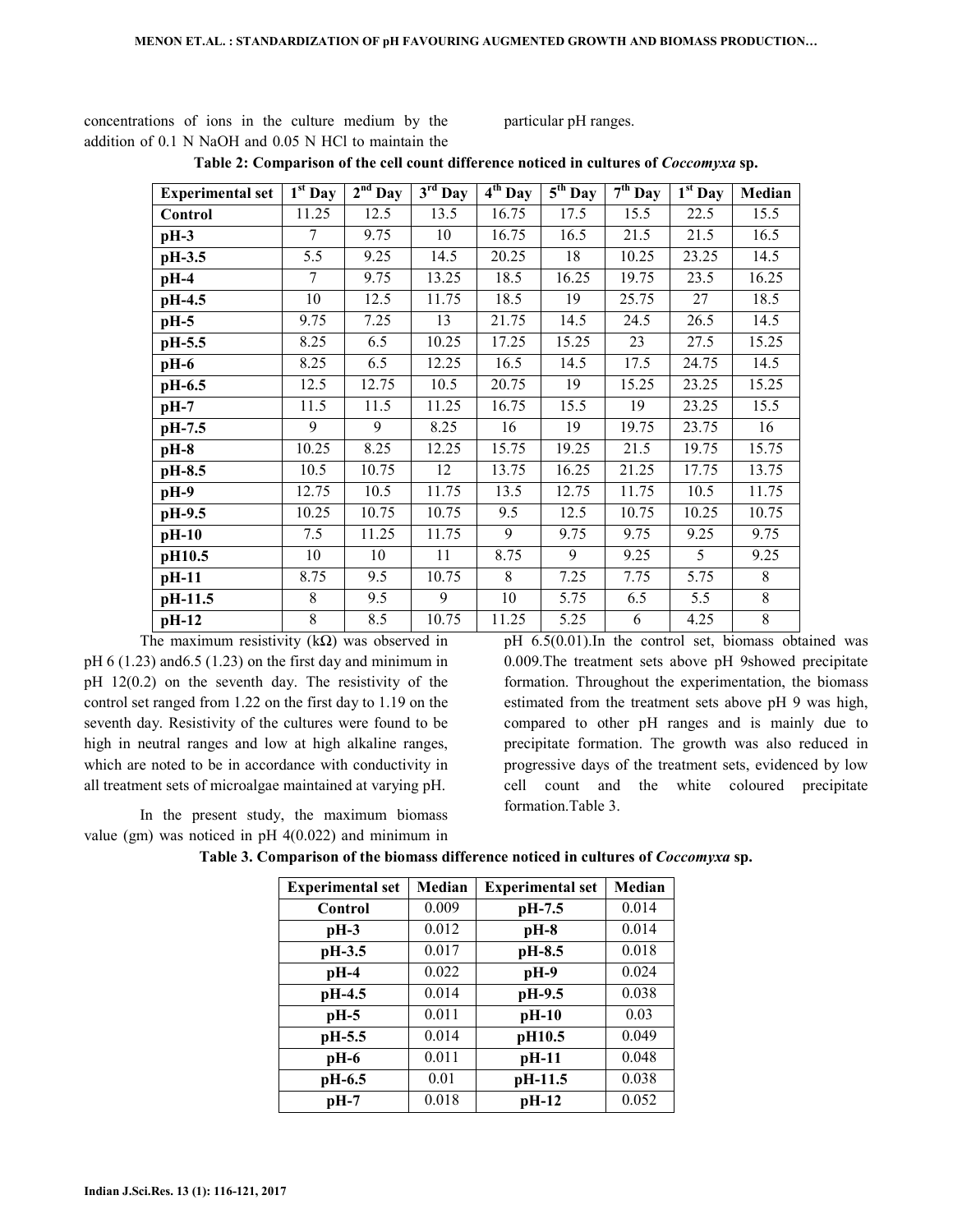concentrations of ions in the culture medium by the addition of 0.1 N NaOH and 0.05 N HCl to maintain the particular pH ranges.

| <b>Experimental set</b> | $\overline{1^{st}}$ Day | $2nd$ Day | $3rd$ Day | $4th$ Day | $\overline{5^{th}$ Day | $7th$ Day | $\overline{1}$ <sup>st</sup> Day | Median      |
|-------------------------|-------------------------|-----------|-----------|-----------|------------------------|-----------|----------------------------------|-------------|
| Control                 | 11.25                   | 12.5      | 13.5      | 16.75     | 17.5                   | 15.5      | 22.5                             | 15.5        |
| $pH-3$                  | 7                       | 9.75      | 10        | 16.75     | 16.5                   | 21.5      | 21.5                             | 16.5        |
| pH-3.5                  | 5.5                     | 9.25      | 14.5      | 20.25     | 18                     | 10.25     | 23.25                            | 14.5        |
| $pH-4$                  | 7                       | 9.75      | 13.25     | 18.5      | 16.25                  | 19.75     | 23.5                             | 16.25       |
| pH-4.5                  | 10                      | 12.5      | 11.75     | 18.5      | 19                     | 25.75     | 27                               | 18.5        |
| $pH-5$                  | 9.75                    | 7.25      | 13        | 21.75     | 14.5                   | 24.5      | 26.5                             | 14.5        |
| pH-5.5                  | 8.25                    | 6.5       | 10.25     | 17.25     | 15.25                  | 23        | 27.5                             | 15.25       |
| pH-6                    | 8.25                    | 6.5       | 12.25     | 16.5      | 14.5                   | 17.5      | 24.75                            | 14.5        |
| pH-6.5                  | 12.5                    | 12.75     | 10.5      | 20.75     | 19                     | 15.25     | 23.25                            | 15.25       |
| $pH-7$                  | 11.5                    | 11.5      | 11.25     | 16.75     | 15.5                   | 19        | 23.25                            | 15.5        |
| pH-7.5                  | 9                       | 9         | 8.25      | 16        | 19                     | 19.75     | 23.75                            | 16          |
| $pH-8$                  | 10.25                   | 8.25      | 12.25     | 15.75     | 19.25                  | 21.5      | 19.75                            | 15.75       |
| pH-8.5                  | 10.5                    | 10.75     | 12        | 13.75     | 16.25                  | 21.25     | 17.75                            | 13.75       |
| pH-9                    | 12.75                   | 10.5      | 11.75     | 13.5      | 12.75                  | 11.75     | 10.5                             | 11.75       |
| pH-9.5                  | 10.25                   | 10.75     | 10.75     | 9.5       | 12.5                   | 10.75     | 10.25                            | 10.75       |
| $pH-10$                 | 7.5                     | 11.25     | 11.75     | 9         | 9.75                   | 9.75      | 9.25                             | 9.75        |
| pH10.5                  | 10                      | 10        | 11        | 8.75      | 9                      | 9.25      | 5                                | 9.25        |
| pH-11                   | 8.75                    | 9.5       | 10.75     | 8         | 7.25                   | 7.75      | 5.75                             | 8           |
| pH-11.5                 | 8                       | 9.5       | 9         | 10        | 5.75                   | 6.5       | 5.5                              | 8           |
| pH-12                   | $\,$ 8 $\,$             | 8.5       | 10.75     | 11.25     | 5.25                   | 6         | 4.25                             | $\,$ 8 $\,$ |

**Table 2: Comparison of the cell count difference noticed in cultures of** *Coccomyxa* **sp.** 

The maximum resistivity ( $k\Omega$ ) was observed in pH  $6(1.23)$  and  $6.5(1.23)$  on the first day and minimum in pH 12(0.2) on the seventh day. The resistivity of the control set ranged from 1.22 on the first day to 1.19 on the seventh day. Resistivity of the cultures were found to be high in neutral ranges and low at high alkaline ranges, which are noted to be in accordance with conductivity in all treatment sets of microalgae maintained at varying pH.

 In the present study, the maximum biomass value (gm) was noticed in pH 4(0.022) and minimum in pH 6.5(0.01).In the control set, biomass obtained was 0.009.The treatment sets above pH 9showed precipitate formation. Throughout the experimentation, the biomass estimated from the treatment sets above pH 9 was high, compared to other pH ranges and is mainly due to precipitate formation. The growth was also reduced in progressive days of the treatment sets, evidenced by low cell count and the white coloured precipitate formation.Table 3.

| <b>Experimental set</b> | Median | <b>Experimental set</b> | Median |
|-------------------------|--------|-------------------------|--------|
| Control                 | 0.009  | pH-7.5                  | 0.014  |
| $pH-3$                  | 0.012  | $pH-8$                  | 0.014  |
| pH-3.5                  | 0.017  | pH-8.5                  | 0.018  |
| $pH-4$                  | 0.022  | pH-9                    | 0.024  |
| pH-4.5                  | 0.014  | pH-9.5                  | 0.038  |
| $pH-5$                  | 0.011  | $pH-10$                 | 0.03   |
| pH-5.5                  | 0.014  | pH10.5                  | 0.049  |
| $pH-6$                  | 0.011  | pH-11                   | 0.048  |
| pH-6.5                  | 0.01   | pH-11.5                 | 0.038  |
| $pH-7$                  | 0.018  | pH-12                   | 0.052  |

|  |  |  |  |  |  |  | Table 3. Comparison of the biomass difference noticed in cultures of <i>Coccomyxa</i> sp. |
|--|--|--|--|--|--|--|-------------------------------------------------------------------------------------------|
|--|--|--|--|--|--|--|-------------------------------------------------------------------------------------------|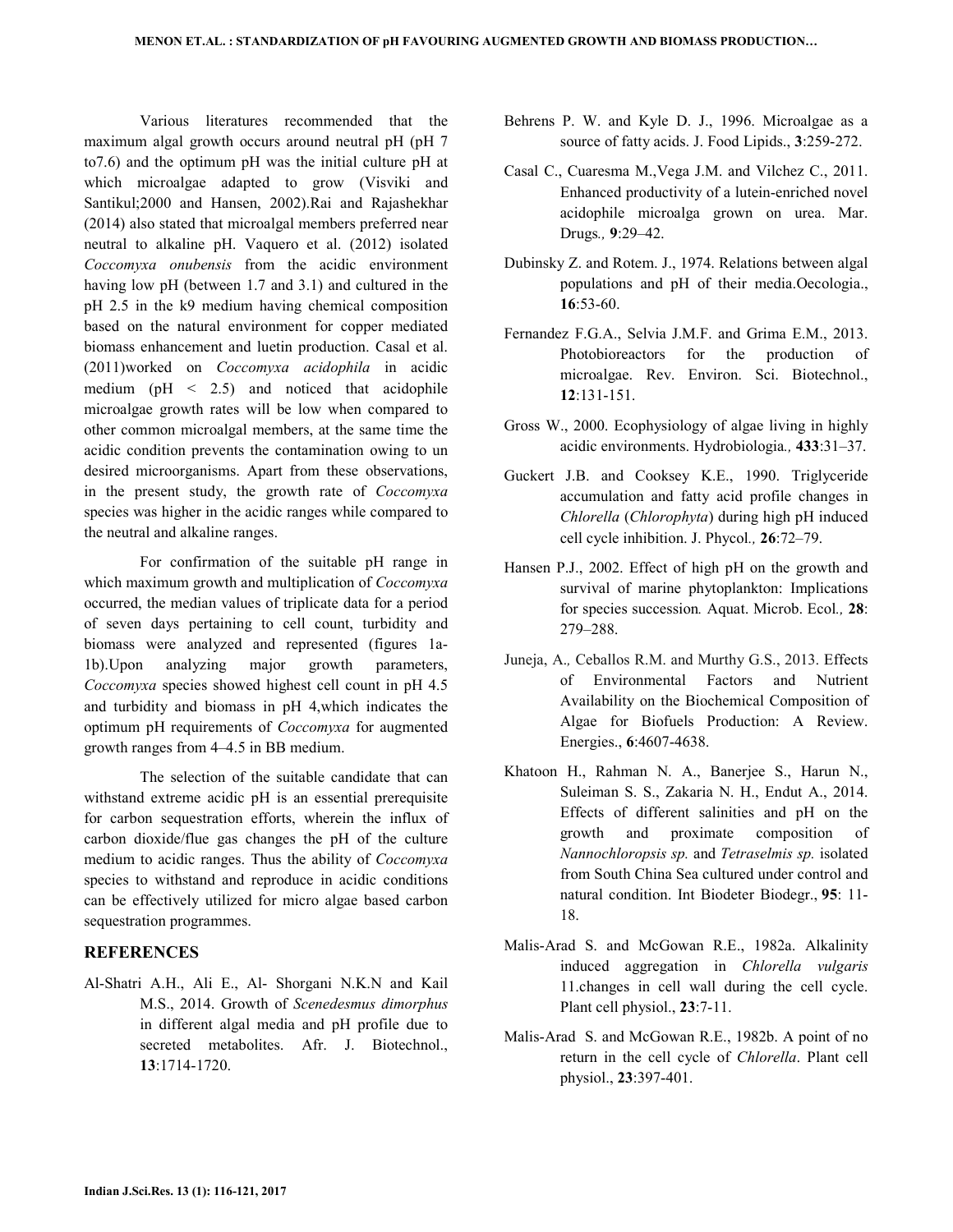Various literatures recommended that the maximum algal growth occurs around neutral pH (pH 7 to7.6) and the optimum pH was the initial culture pH at which microalgae adapted to grow (Visviki and Santikul;2000 and Hansen, 2002).Rai and Rajashekhar (2014) also stated that microalgal members preferred near neutral to alkaline pH. Vaquero et al. (2012) isolated *Coccomyxa onubensis* from the acidic environment having low pH (between 1.7 and 3.1) and cultured in the pH 2.5 in the k9 medium having chemical composition based on the natural environment for copper mediated biomass enhancement and luetin production. Casal et al. (2011)worked on *Coccomyxa acidophila* in acidic medium ( $pH < 2.5$ ) and noticed that acidophile microalgae growth rates will be low when compared to other common microalgal members, at the same time the acidic condition prevents the contamination owing to un desired microorganisms. Apart from these observations, in the present study, the growth rate of *Coccomyxa* species was higher in the acidic ranges while compared to the neutral and alkaline ranges.

 For confirmation of the suitable pH range in which maximum growth and multiplication of *Coccomyxa*  occurred, the median values of triplicate data for a period of seven days pertaining to cell count, turbidity and biomass were analyzed and represented (figures 1a-1b).Upon analyzing major growth parameters, *Coccomyxa* species showed highest cell count in pH 4.5 and turbidity and biomass in pH 4,which indicates the optimum pH requirements of *Coccomyxa* for augmented growth ranges from 4–4.5 in BB medium.

 The selection of the suitable candidate that can withstand extreme acidic pH is an essential prerequisite for carbon sequestration efforts, wherein the influx of carbon dioxide/flue gas changes the pH of the culture medium to acidic ranges. Thus the ability of *Coccomyxa*  species to withstand and reproduce in acidic conditions can be effectively utilized for micro algae based carbon sequestration programmes.

#### **REFERENCES**

Al-Shatri A.H., Ali E., Al- Shorgani N.K.N and Kail M.S., 2014. Growth of *Scenedesmus dimorphus* in different algal media and pH profile due to secreted metabolites. Afr. J. Biotechnol., **13**:1714-1720.

- Behrens P. W. and Kyle D. J., 1996. Microalgae as a source of fatty acids. J. Food Lipids., **3**:259-272.
- Casal C., Cuaresma M.,Vega J.M. and Vilchez C., 2011. Enhanced productivity of a lutein-enriched novel acidophile microalga grown on urea. Mar. Drugs*.,* **9**:29–42.
- Dubinsky Z. and Rotem. J., 1974. Relations between algal populations and pH of their media.Oecologia., **16**:53-60.
- Fernandez F.G.A., Selvia J.M.F. and Grima E.M., 2013. Photobioreactors for the production of microalgae. Rev. Environ. Sci. Biotechnol., **12**:131-151.
- Gross W., 2000. Ecophysiology of algae living in highly acidic environments. Hydrobiologia*.,* **433**:31–37.
- Guckert J.B. and Cooksey K.E., 1990. Triglyceride accumulation and fatty acid profile changes in *Chlorella* (*Chlorophyta*) during high pH induced cell cycle inhibition. J. Phycol*.,* **26**:72–79.
- Hansen P.J., 2002. Effect of high pH on the growth and survival of marine phytoplankton: Implications for species succession*.* Aquat. Microb. Ecol*.,* **28**: 279–288.
- Juneja, A.*,* Ceballos R.M. and Murthy G.S., 2013. Effects of Environmental Factors and Nutrient Availability on the Biochemical Composition of Algae for Biofuels Production: A Review. Energies., **6**:4607-4638.
- Khatoon H., Rahman N. A., Banerjee S., Harun N., Suleiman S. S., Zakaria N. H., Endut A., 2014. Effects of different salinities and pH on the growth and proximate composition of *Nannochloropsis sp.* and *Tetraselmis sp.* isolated from South China Sea cultured under control and natural condition. Int Biodeter Biodegr., **95**: 11- 18.
- Malis-Arad S. and McGowan R.E., 1982a. Alkalinity induced aggregation in *Chlorella vulgaris*  11.changes in cell wall during the cell cycle. Plant cell physiol., **23**:7-11.
- Malis-Arad S. and McGowan R.E., 1982b. A point of no return in the cell cycle of *Chlorella*. Plant cell physiol., **23**:397-401.